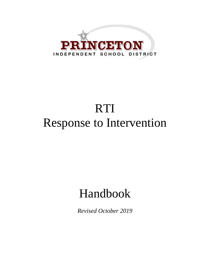

# RTI Response to Intervention

## Handbook

*Revised October 2019*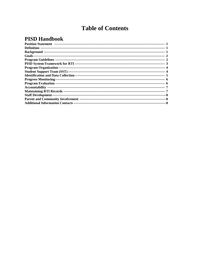## **Table of Contents**

## **PISD Handbook**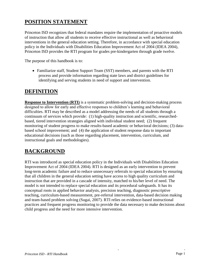## **POSITION STATEMENT**

Princeton ISD recognizes that federal mandates require the implementation of proactive models of instruction that allow all students to receive effective instructional as well as behavioral interventions in the general education setting. Therefore, in accordance with special education policy in the Individuals with Disabilities Education Improvement Act of 2004 (IDEA 2004), Princeton ISD provides the RTI program for grades pre-kindergarten through grade twelve.

The purpose of this handbook is to:

 Familiarize staff, Student Support Team (SST) members, and parents with the RTI process and provide information regarding state laws and district guidelines for identifying and serving students in need of support and intervention.

### **DEFINITION**

**Response to Intervention (RTI)** is a systematic problem-solving and decision-making process designed to allow for early and effective responses to children's learning and behavioral difficulties. RTI may be described as a model addressing the needs of all students through a continuum of services which provide: (1) high-quality instruction and scientific, researchedbased, tiered intervention strategies aligned with individual student need; (2) frequent monitoring of student progress to make results-based academic or behavioral decisions; (3) databased school improvement; and (4) the application of student response data to important educational decisions (such as those regarding placement, intervention, curriculum, and instructional goals and methodologies).

## **BACKGROUND**

RTI was introduced as special education policy in the Individuals with Disabilities Education Improvement Act of 2004 (IDEA 2004). RTI is designed as an early intervention to prevent long-term academic failure and to reduce unnecessary referrals to special education by ensuring that all children in the general education setting have access to high quality curriculum and instruction that are provided in a cascade of intensity, matched to his/her level of need. The model is not intended to replace special education and its procedural safeguards. It has its conceptual roots in applied behavior analysis, precision teaching, diagnostic prescriptive teaching, curriculum-based measurement, pre-referral intervention, data-based decision making and team-based problem solving (Sugai, 2007). RTI relies on evidence-based instructional practices and frequent progress monitoring to provide the data necessary to make decisions about child progress and the need for more intensive intervention.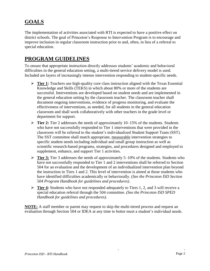## **GOALS**

The implementation of activities associated with RTI is expected to have a positive effect on district schools. The goal of Princeton's Response to Intervention Program is to encourage and improve inclusion in regular classroom instruction prior to and, often, in lieu of a referral to special education.

## **PROGRAM GUIDELINES**

To ensure that appropriate instruction directly addresses students' academic and behavioral difficulties in the general education setting, a multi-tiered service delivery model is used. Included are layers of increasingly intense intervention responding to student-specific needs.

- **Tier 1:** Teachers use high-quality core class instruction aligned with the Texas Essential Knowledge and Skills (TEKS) in which about 80% or more of the students are successful. Interventions are developed based on student needs and are implemented in the general education setting by the classroom teacher. The classroom teacher shall document ongoing interventions, evidence of progress monitoring, and evaluate the effectiveness of interventions, as needed, for all students in the general education classroom and shall work collaboratively with other teachers in the grade level or department for support.
- **Tier 2:** Tier 2 addresses the needs of approximately 10–15% of the students. Students who have not successfully responded to Tier 1 interventions that were provided in the classroom will be referred to the student's individualized Student Support Team (SST). The SST committee shall match appropriate, measurable intervention strategies to specific student needs including individual and small group instruction as well as scientific research-based programs, strategies, and procedures designed and employed to supplement, enhance, and support Tier 1 activities.
- **Tier 3:** Tier 3 addresses the needs of approximately 5–10% of the students. Students who have not successfully responded to Tier 1 and 2 interventions shall be referred to Section 504 for an evaluation and the development of an individualized intervention plan beyond the instruction in Tiers 1 and 2. This level of intervention is aimed at those students who have identified difficulties academically or behaviorally. (*See the Princeton ISD Section 504 Program Handbook for guidelines and procedures)*.
- **Tier 4:** Students who have not responded adequately to Tiers 1, 2, and 3 will receive a special education referral through the 504 committee. *(See the Princeton ISD SPED Handbook for guidelines and procedures).*

**NOTE:** A staff member or parent may request to skip the multi-tiered process and request an evaluation through Section 504 or IDEA at any time to better meet a student's individual needs.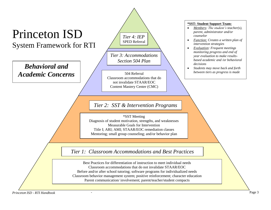

*Princeton ISD* - *- RTI Handbook* - Page 3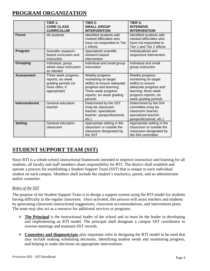## **PROGRAM ORGANIZATION**

|                        | TIER 1:<br><b>CORE CLASS</b><br><b>CURRICULUM</b>                                                 | TIER $2:$<br><b>SMALL GROUP</b><br><b>INTERVENTION</b>                                                                                                          | TIER 3:<br><b>INTENSIVE</b><br><b>INTERVENTION</b>                                                                                                              |
|------------------------|---------------------------------------------------------------------------------------------------|-----------------------------------------------------------------------------------------------------------------------------------------------------------------|-----------------------------------------------------------------------------------------------------------------------------------------------------------------|
| <b>Focus</b>           | All students                                                                                      | Identified students with<br>marked difficulties who<br>have not responded to Tier<br>1 efforts                                                                  | Identified students with<br>marked difficulties who<br>have not responded to<br>Tier 1 and Tier 2 efforts                                                       |
| Program                | Scientific research-<br>based curriculum and<br>instruction                                       | Specialized scientific<br>research-based<br>intervention                                                                                                        | Individualized and<br>responsive intervention                                                                                                                   |
| <b>Grouping</b>        | Individual, group,<br>whole class instruction<br>as needed                                        | Individual and small group<br>instruction                                                                                                                       | Individual and small<br>group instruction                                                                                                                       |
| <b>Assessment</b>      | Three week progress<br>reports; six week<br>grading periods (or<br>more often, if<br>appropriate) | Weekly progress<br>monitoring on target<br>skill(s) to ensure adequate<br>progress and learning;<br>Three week progress<br>reports; six week grading<br>periods | Weekly progress<br>monitoring on target<br>skill(s) to ensure<br>adequate progress and<br>learning; three week<br>progress reports; six<br>week grading periods |
| <b>Interventionist</b> | General education<br>teacher                                                                      | Determined by the SST<br>(may be classroom<br>teacher, specialized<br>teacher, paraprofessional,<br>etc.                                                        | Determined by the 504<br>committee (may be<br>classroom teacher,<br>specialized teacher,<br>paraprofessional, etc.)                                             |
| <b>Setting</b>         | General education<br>classroom                                                                    | Appropriate setting in the<br>classroom or outside the<br>classroom designated by<br>the SST                                                                    | Appropriate setting in the<br>classroom or outside the<br>classroom designated by<br>the 504 committee                                                          |

## **STUDENT SUPPORT TEAM (SST)**

Since RTI is a whole-school instructional framework intended to improve instruction and learning for all students, all faculty and staff members share responsibility for RTI. The district shall establish and operate a process for establishing a Student Support Team (SST) that is unique to each individual student on each campus. Members shall include the student's teacher(s), parent, and an administrator and/or counselor.

#### *Roles of the SST*

The purpose of the Student Support Team is to design a support system using the RTI model for students having difficulty in the regular classroom. Once activated, this process will assist teachers and students by generating classroom instructional suggestions, classroom accommodations, and intervention plans. The team may also act as a resource for additional services or programs.

- **The Principal** is the instructional leader of the school and so must be the leader in developing and implementing an RTI model. The principal shall designate a campus SST coordinator to oversee meetings and maintain SST records.
- **Counselors and diagnosticians** play important roles in designing the RTI model to be used that may include making scheduling decisions, identifying student needs and monitoring progress, and helping to make decisions on appropriate interventions.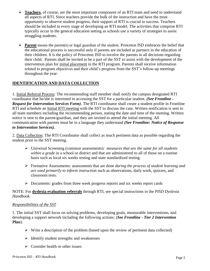- **►** Teachers, of course, are the most important component of an RTI team and need to understand all aspects of RTI. Since teachers provide the bulk of the instruction and have the most opportunity to observe student progress, their support of RTI is crucial to success. Teachers should be included in every stage of developing an RTI model. The activities that comprise RTI typically occur in the general education setting as schools use a variety of strategies to assist struggling students.
- **Parent** means the parent(s) or legal guardian of the student. Princeton ISD embraces the belief that the educational process is successful only if parents are included as partners in the education of their children. It is the policy of Princeton ISD to involve the parents in all decisions regarding their child. Parents shall be invited to be a part of the SST to assist with the development of the intervention plan for initial placement in the RTI program. Parents shall receive information related to program objectives and their child's progress from the SST's follow-up meetings throughout the year.

#### **IDENTIFICATION AND DATA COLLECTION**

1. Initial Referral Process: The recommending staff member shall notify the campus designated RTI coordinator that he/she is interested in accessing the SST for a particular student. *(See Frontline - Request for Intervention Services Form)*. The RTI coordinator shall create a student profile in Frontline RTI and schedule an Initial RTI meeting with the SST to discuss the case. Written notification is sent to all team members including the recommending person, stating the date and time of the meeting. Written notice is sent to the parent/guardian, and they are invited to attend the initial meeting. All communication with parents must be in a language they understand *(See Frontline: Notice of Response to Intervention Services).*

2. Data Collection: The RTI Coordinator shall collect as much pertinent data as possible regarding the student prior to the SST meeting.

- Universal Screening (common assessments): *measures that are the same for all students within a grade* in a school or district and that are administered to all of those on a routine basis such as local six weeks testing and state standardized testing.
- Formative Assessments: assessments that are done *during the process of student learning and are used primarily to inform instruction* such as observations, daily work, quizzes, and classroom tests.
- $\triangleright$  Documents: grades from three week progress reports and six weeks report cards

#### NOTE: For **dyslexia evaluation referrals** through RTI, see special instructions in the *PISD Dyslexia Handbook.*

#### *Responsibilities of the SST*

1. The initial SST shall focus on solving problems, developing goals, measurable interventions, and developing a support network including the following actions: (*See Frontline - Tier 2 Intervention Plan*):

- $\triangleright$  Write a description of the problem (based upon the review of pertinent data collected)
- $\triangleright$  Identify student strengths and weaknesses
- $\triangleright$  Consider health or other issues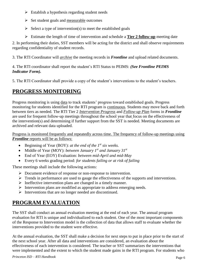- $\triangleright$  Establish a hypothesis regarding student needs
- $\triangleright$  Set student goals and measurable outcomes
- $\triangleright$  Select a type of intervention(s) to meet the established goals
- Estimate the length of time of intervention and schedule a **Tier 2 follow-up** meeting date

2. In performing their duties, SST members will be acting for the district and shall observe requirements regarding confidentiality of student records.

3. The RTI Coordinator will *archive* the meeting records in *Frontline* and upload related documents.

4. The RTI coordinator shall report the student's RTI Status to PEIMS: *(See Frontline PEIMS Indicator Form).*

5. The RTI Coordinator shall provide a copy of the student's interventions to the student's teachers.

## **PROGRESS MONITORING**

Progress monitoring is using data to track students' progress toward established goals. Progress monitoring for students identified for the RTI program is continuous. Students may move back and forth between tiers as needed. The RTI Tier 2 *Intervention Progress* and *Follow-up Plan* forms in *Frontline* are used for frequent follow-up meetings throughout the school year that focus on the effectiveness of the intervention(s) and determining if further support from the SST is needed. Meeting documents are archived and relevant data uploaded.

Progress is monitored frequently and repeatedly across time. The frequency of follow-up meetings using *Frontline* reports will be as follows:

- Beginning of Year (BOY): *at the end of the 1st six weeks.*
- Middle of Year (MOY): *between January 1st and January 31st*
- End of Year (EOY) Evaluation: *between mid-April and mid-May*
- Every 6 weeks grading period: *for students failing or at risk of failing*

These meetings shall include the following actions:

- Document evidence of response or non-response to intervention.
- $\triangleright$  Trends in performance are used to gauge the effectiveness of the supports and interventions.
- $\triangleright$  Ineffective intervention plans are changed in a timely manner.
- $\triangleright$  Intervention plans are modified as appropriate to address emerging needs.
- $\triangleright$  Interventions that are no longer needed are discontinued.

## **PROGRAM EVALUATION**

The SST shall conduct an annual evaluation meeting at the end of each year. The annual program evaluation for RTI is unique and individualized to each student. One of the most important components of the Response to Intervention model is the collection of data that allows staff to evaluate whether the interventions provided to the student were effective.

At the annual evaluation, the SST shall make a decision for next steps to put in place prior to the start of the next school year. After all data and interventions are considered, an evaluation about the effectiveness of each intervention is considered. The teacher or SST summarizes the interventions that were implemented and the extent to which the student made gains in the RTI program. For students who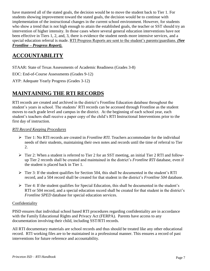have mastered all of the stated goals, the decision would be to move the student back to Tier 1. For students showing improvement toward the stated goals, the decision would be to continue with implementation of the instructional changes in the current school environment. However, for students who show a trend that is not high enough to attain the established goals, the teacher or SST should try an intervention of higher intensity. In those cases where several general education interventions have not been effective in Tiers 1, 2, and, 3, there is evidence the student needs more intensive services, and a special education referral is made. RTI Progress Reports are sent to the student's parents/guardians. *(See Frontline – Progress Report).*

## **ACCOUNTABILITY**

STAAR: State of Texas Assessments of Academic Readiness (Grades 3-8)

EOC: End-of-Course Assessments (Grades 9-12)

AYP: Adequate Yearly Progress (Grades 3-12)

## **MAINTAINING THE RTI RECORDS**

RTI records are created and archived in the district's Frontline Education database throughout the student's years in school. The students' RTI records can be accessed through Frontline as the student moves to each grade level and campus in the district. At the beginning of each school year, each student's teachers shall receive a paper copy of the child's RTI Instructional Interventions prior to the first day of instruction.

#### *RTI Record Keeping Procedures*

- Tier 1: No RTI records are created in *Frontline RTI*. Teachers accommodate for the individual needs of their students, maintaining their own notes and records until the time of referral to Tier 2.
- $\triangleright$  Tier 2: When a student is referred to Tier 2 for an SST meeting, an initial Tier 2 RTI and followup Tier 2 records shall be created and maintained in the district's *Frontline RTI* database, even if the student is placed back in Tier 1.
- $\triangleright$  Tier 3: If the student qualifies for Section 504, this shall be documented in the student's RTI record, and a 504 record shall be created for that student in the district's *Frontline 504* database.
- $\triangleright$  Tier 4: If the student qualifies for Special Education, this shall be documented in the student's RTI or 504 record, and a special education record shall be created for that student in the district's *Frontline SPED* database for special education services.

#### Confidentiality

PISD ensures that individual school based RTI procedures regarding confidentiality are in accordance with the Family Educational Rights and Privacy Act (FERPA). Parents have access to any documentation involving their child, including SST/RTI records.

All RTI documentary materials are school records and thus should be treated like any other educational record. RTI working files are to be maintained in a professional manner. This ensures a record of past interventions for future reference and accountability.